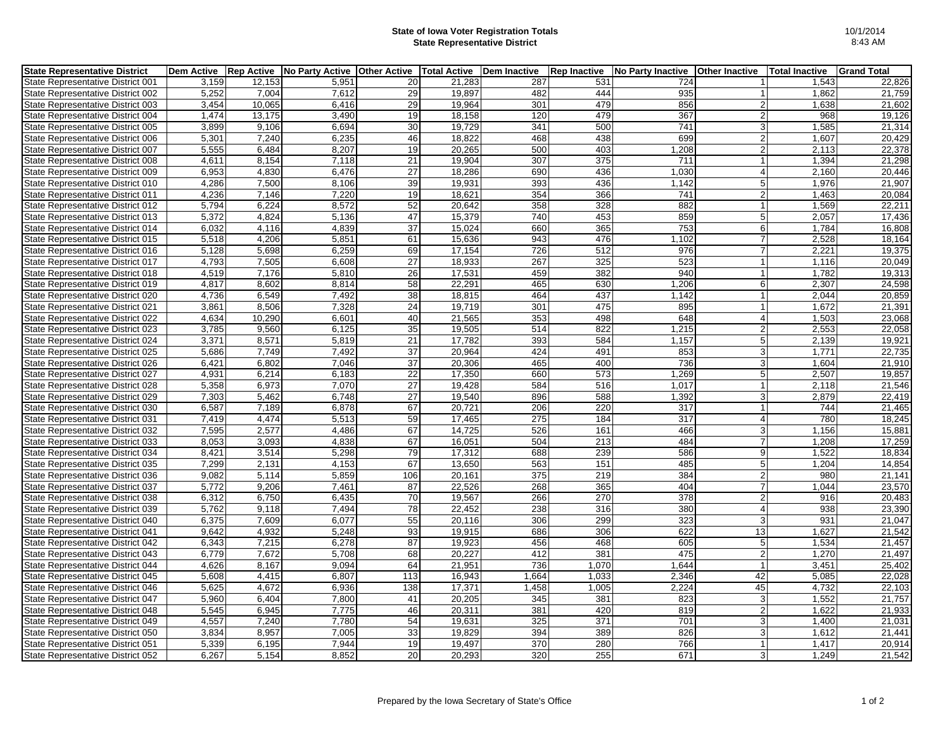## **State of Iowa Voter Registration Totals State Representative District**

| <b>State Representative District</b> | Dem Active Rep Active |        | <b>No Party Active</b> | <b>Other Active</b> | <b>Total Active</b> | <b>Dem Inactive</b> | <b>Rep Inactive</b> | No Party Inactive | <b>Other Inactive</b> | Total Inactive | <b>Grand Total</b> |
|--------------------------------------|-----------------------|--------|------------------------|---------------------|---------------------|---------------------|---------------------|-------------------|-----------------------|----------------|--------------------|
| State Representative District 001    | 3.159                 | 12,153 | 5.951                  | 20                  | 21.283              | 287                 | 531                 | 724               |                       | 1,543          | 22,826             |
| State Representative District 002    | 5,252                 | 7,004  | 7,612                  | 29                  | 19,897              | 482                 | 444                 | 935               | 1                     | 1,862          | 21,759             |
| State Representative District 003    | 3,454                 | 10,065 | 6,416                  | 29                  | 19,964              | 301                 | 479                 | 856               | $\overline{2}$        | 1,638          | 21,602             |
| State Representative District 004    | 1,474                 | 13,175 | 3,490                  | 19                  | 18,158              | 120                 | 479                 | 367               | $\overline{2}$        | 968            | 19,126             |
| State Representative District 005    | 3,899                 | 9,106  | 6.694                  | 30                  | 19.729              | 341                 | 500                 | 741               | 3                     | 1,585          | 21,314             |
| State Representative District 006    | 5,301                 | 7,240  | 6,235                  | 46                  | 18,822              | 468                 | 438                 | 699               | $\overline{2}$        | 1,607          | 20,429             |
| State Representative District 007    | 5,555                 | 6,484  | 8,207                  | 19                  | 20,265              | 500                 | 403                 | 1,208             | $\overline{2}$        | 2,113          | 22,378             |
| State Representative District 008    | 4,611                 | 8,154  | 7,118                  | 21                  | 19,904              | 307                 | 375                 | 711               |                       | 1,394          | 21,298             |
| State Representative District 009    | 6,953                 | 4,830  | 6,476                  | 27                  | 18,286              | 690                 | 436                 | 1,030             | $\overline{4}$        | 2,160          | 20,446             |
| State Representative District 010    | 4,286                 | 7,500  | 8,106                  | 39                  | 19,931              | 393                 | 436                 | 1,142             | 5                     | 1,976          | 21,907             |
| State Representative District 011    | 4,236                 | 7,146  | 7,220                  | 19                  | 18,621              | 354                 | 366                 | 741               | $\overline{2}$        | 1,463          | 20,084             |
| State Representative District 012    | 5,794                 | 6,224  | 8,572                  | 52                  | 20,642              | 358                 | 328                 | 882               | $\overline{1}$        | 1,569          | 22,211             |
| State Representative District 013    | 5,372                 | 4,824  | 5,136                  | 47                  | 15,379              | 740                 | 453                 | 859               | 5                     | 2,057          | 17,436             |
| State Representative District 014    | 6,032                 | 4,116  | 4,839                  | $\overline{37}$     | 15.024              | 660                 | 365                 | $\overline{753}$  | 6                     | 1.784          | 16,808             |
| State Representative District 015    | 5,518                 | 4,206  | 5,851                  | 61                  | 15,636              | 943                 | 476                 | 1,102             | $\overline{7}$        | 2,528          | 18,164             |
| State Representative District 016    | 5,128                 | 5,698  | 6,259                  | 69                  | 17.154              | $\overline{726}$    | $\overline{512}$    | 976               | 7                     | 2,221          | 19,375             |
| State Representative District 017    | 4,793                 | 7,505  | 6,608                  | 27                  | 18,933              | 267                 | 325                 | 523               | $\mathbf{1}$          | 1,116          | 20,049             |
| State Representative District 018    | 4,519                 | 7,176  | 5,810                  | 26                  | 17,531              | 459                 | 382                 | 940               |                       | 1,782          | 19,313             |
| State Representative District 019    | 4,817                 | 8,602  | 8,814                  | 58                  | 22,291              | 465                 | 630                 | 1,206             | 6                     | 2,307          | 24,598             |
| State Representative District 020    | 4,736                 | 6.549  | 7,492                  | 38                  | 18,815              | 464                 | 437                 | 1,142             | $\overline{1}$        | 2,044          | 20,859             |
| State Representative District 021    | 3,861                 | 8,506  | 7,328                  | 24                  | 19,719              | 301                 | 475                 | 895               | $\mathbf{1}$          | 1,672          | 21,391             |
| State Representative District 022    | 4,634                 | 10,290 | 6,601                  | 40                  | 21,565              | 353                 | 498                 | 648               | $\overline{4}$        | 1,503          | 23,068             |
| State Representative District 023    | 3,785                 | 9,560  | 6,125                  | 35                  | 19,505              | 514                 | 822                 | 1,215             | $\overline{2}$        | 2,553          | 22,058             |
| State Representative District 024    | 3,371                 | 8,571  | 5,819                  | 21                  | 17,782              | 393                 | 584                 | 1,157             | 5                     | 2,139          | 19,921             |
| State Representative District 025    | 5,686                 | 7,749  | 7,492                  | 37                  | 20,964              | 424                 | 491                 | 853               | 3                     | 1,771          | 22,735             |
| State Representative District 026    | 6,421                 | 6,802  | 7,046                  | 37                  | 20,306              | 465                 | 400                 | 736               | 3                     | 1,604          | 21,910             |
| State Representative District 027    | 4.931                 | 6,214  | 6.183                  | 22                  | 17.350              | 660                 | 573                 | 1,269             | 5                     | 2.507          | 19,857             |
| State Representative District 028    | 5,358                 | 6,973  | 7,070                  | 27                  | 19,428              | 584                 | 516                 | 1,017             | $\overline{1}$        | 2,118          | 21,546             |
| State Representative District 029    | 7,303                 | 5,462  | 6,748                  | 27                  | 19,540              | 896                 | 588                 | 1,392             | 3                     | 2,879          | 22,419             |
| State Representative District 030    | 6,587                 | 7,189  | 6,878                  | 67                  | 20,721              | 206                 | 220                 | 317               |                       | 744            | 21,465             |
| State Representative District 031    | 7,419                 | 4,474  | 5,513                  | 59                  | 17.465              | 275                 | 184                 | 317               | $\overline{4}$        | 780            | 18,245             |
| State Representative District 032    | 7,595                 | 2,577  | 4,486                  | 67                  | 14,725              | 526                 | 161                 | 466               | 3                     | 1,156          | 15,881             |
| State Representative District 033    | 8.053                 | 3.093  | 4.838                  | 67                  | 16.051              | 504                 | 213                 | 484               | $\overline{7}$        | 1,208          | 17,259             |
| State Representative District 034    | 8,421                 | 3,514  | 5,298                  | 79                  | 17,312              | 688                 | 239                 | 586               | 9                     | 1,522          | 18,834             |
| State Representative District 035    | 7,299                 | 2,131  | 4,153                  | 67                  | 13,650              | 563                 | 151                 | 485               | 5                     | 1,204          | 14,854             |
| State Representative District 036    | 9,082                 | 5,114  | 5,859                  | 106                 | 20,161              | 375                 | 219                 | 384               | $\overline{2}$        | 980            | 21,141             |
| State Representative District 037    | 5.772                 | 9.206  | 7.461                  | 87                  | 22,526              | 268                 | 365                 | 404               | $\overline{7}$        | 1.044          | 23,570             |
| State Representative District 038    | 6,312                 | 6,750  | 6,435                  | 70                  | 19,567              | 266                 | 270                 | 378               | $\overline{2}$        | 916            | 20,483             |
| State Representative District 039    | 5,762                 | 9,118  | 7,494                  | $\overline{78}$     | 22,452              | 238                 | 316                 | 380               | $\overline{4}$        | 938            | 23,390             |
| State Representative District 040    | 6,375                 | 7,609  | 6,077                  | 55                  | 20,116              | 306                 | 299                 | 323               | 3                     | 931            | 21,047             |
| State Representative District 041    | 9,642                 | 4,932  | 5,248                  | 93                  | 19,915              | 686                 | 306                 | 622               | 13                    | 1,627          | 21,542             |
| State Representative District 042    | 6,343                 | 7,215  | 6,278                  | 87                  | 19,923              | 456                 | 468                 | 605               | 5                     | 1,534          | 21,457             |
| State Representative District 043    | 6,779                 | 7,672  | 5,708                  | 68                  | 20,227              | 412                 | 381                 | 475               | $\overline{2}$        | 1,270          | 21,497             |
| State Representative District 044    | 4,626                 | 8,167  | 9,094                  | 64                  | 21,951              | 736                 | 1,070               | 1.644             | $\overline{1}$        | 3,451          | 25,402             |
| State Representative District 045    | 5,608                 | 4,415  | 6,807                  | 113                 | 16,943              | 1,664               | 1,033               | 2,346             | 42                    | 5,085          | 22,028             |
| State Representative District 046    | 5.625                 | 4.672  | 6.936                  | 138                 | 17.371              | 1.458               | 1.005               | 2.224             | 45                    | 4.732          | 22,103             |
| State Representative District 047    | 5,960                 | 6,404  | 7,800                  | 41                  | 20,205              | 345                 | 381                 | 823               | 3                     | 1,552          | 21,757             |
| State Representative District 048    | 5.545                 | 6.945  | 7,775                  | 46                  | 20.311              | 381                 | 420                 | 819               | $\overline{2}$        | 1.622          | 21,933             |
| State Representative District 049    | 4,557                 | 7,240  | 7,780                  | 54                  | 19,631              | 325                 | 371                 | 701               | 3                     | 1,400          | 21,031             |
| State Representative District 050    | 3,834                 | 8,957  | 7,005                  | 33                  | 19,829              | 394                 | 389                 | 826               | 3                     | 1,612          | 21,441             |
| State Representative District 051    | 5,339                 | 6,195  | 7.944                  | 19                  | 19,497              | 370                 | 280                 | 766               | $\overline{1}$        | 1.417          | 20,914             |
| State Representative District 052    | 6,267                 | 5,154  | 8.852                  | 20                  | 20,293              | 320                 | 255                 | 671               | $\mathbf{3}$          | 1,249          | 21,542             |